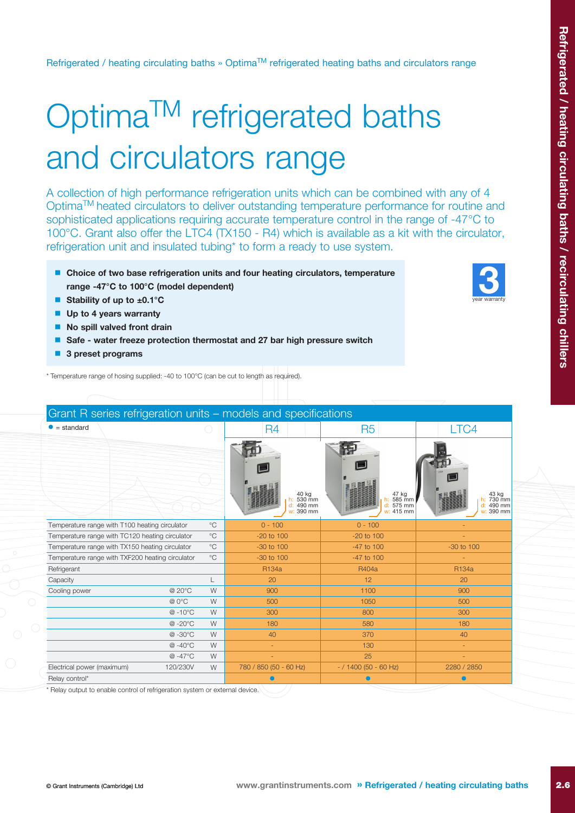year warranty 3

Refrigerated / heating circulating baths » Optima™ refrigerated heating baths and circulators range

## Optima<sup>™</sup> refrigerated baths and circulators range

A collection of high performance refrigeration units which can be combined with any of 4 OptimaTM heated circulators to deliver outstanding temperature performance for routine and sophisticated applications requiring accurate temperature control in the range of -47°C to 100°C. Grant also offer the LTC4 (TX150 - R4) which is available as a kit with the circulator, refrigeration unit and insulated tubing\* to form a ready to use system.

- $\blacksquare$  Choice of two base refrigeration units and four heating circulators, temperature range -47°C to 100°C (model dependent)
- Stability of up to  $±0.1^{\circ}$ C
- $\blacksquare$  Up to 4 years warranty
- $\blacksquare$  No spill valved front drain
- $\blacksquare$  Safe water freeze protection thermostat and 27 bar high pressure switch
- $\blacksquare$  3 preset programs

\* Temperature range of hosing supplied: -40 to 100°C (can be cut to length as required).

| Grant R series refrigeration units - models and specifications   |                                                |                |                                           |                                        |                                              |  |  |
|------------------------------------------------------------------|------------------------------------------------|----------------|-------------------------------------------|----------------------------------------|----------------------------------------------|--|--|
| $\bullet$ = standard                                             |                                                | R4             | R <sub>5</sub>                            | LTC4                                   |                                              |  |  |
|                                                                  |                                                |                | 40 kg<br>530 mm<br>d: 490 mm<br>w: 390 mm | 47 kg<br>585 mm<br>575 mm<br>w: 415 mm | 43 kg<br>730 mm<br>490 mm<br>d:<br>w: 390 mm |  |  |
|                                                                  | Temperature range with T100 heating circulator | $^{\circ}C$    | $0 - 100$                                 | $0 - 100$                              |                                              |  |  |
| $^{\circ}$ C<br>Temperature range with TC120 heating circulator  |                                                | $-20$ to $100$ | $-20$ to $100$                            |                                        |                                              |  |  |
| Temperature range with TX150 heating circulator<br>$^{\circ}$ C  |                                                | -30 to 100     | -47 to 100                                | -30 to 100                             |                                              |  |  |
| $^{\circ}$ C<br>Temperature range with TXF200 heating circulator |                                                | $-30$ to $100$ | $-47$ to $100$                            |                                        |                                              |  |  |
| Refrigerant                                                      |                                                |                | R134a                                     | R404a                                  | R134a                                        |  |  |
| Capacity                                                         |                                                | L              | 20                                        | 12                                     | 20                                           |  |  |
| Cooling power                                                    | @ 20°C                                         | W              | 900                                       | 1100                                   | 900                                          |  |  |
|                                                                  | @ 0°C                                          | W              | 500                                       | 1050                                   | 500                                          |  |  |
|                                                                  | @-10°C                                         | W              | 300                                       | 800                                    | 300                                          |  |  |
|                                                                  | @-20°C                                         | W              | 180                                       | 580                                    | 180                                          |  |  |
|                                                                  | @-30°C                                         | W              | 40                                        | 370                                    | 40                                           |  |  |
|                                                                  | @-40°C                                         | W              |                                           | 130                                    |                                              |  |  |
|                                                                  | @-47°C                                         | W              |                                           | 25                                     |                                              |  |  |
| Electrical power (maximum)                                       | 120/230V                                       | W              | 780 / 850 (50 - 60 Hz)                    | $-$ / 1400 (50 - 60 Hz)                | 2280 / 2850                                  |  |  |
| Relay control*                                                   |                                                |                |                                           |                                        |                                              |  |  |
|                                                                  |                                                |                | and the control of the con-               |                                        |                                              |  |  |

Relay output to enable control of refrigeration system or external device.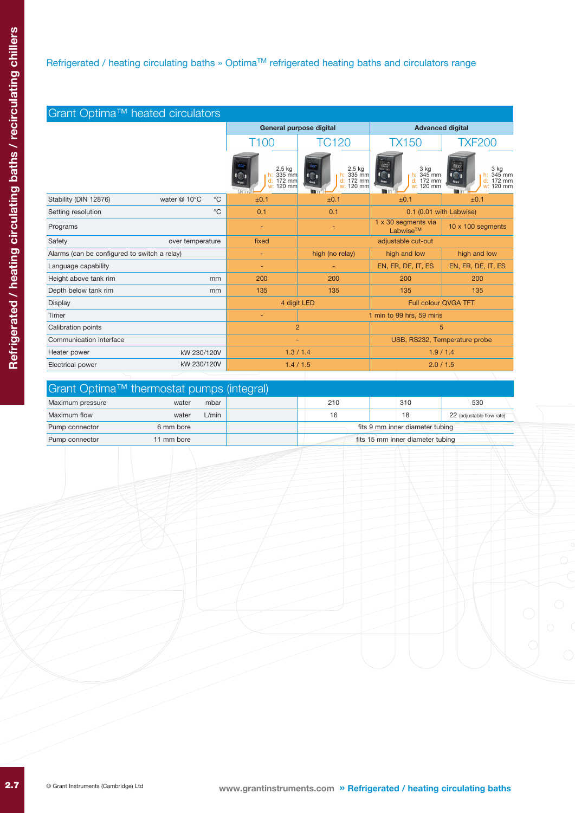## Refrigerated / heating circulating baths » Optima™ refrigerated heating baths and circulators range

| Grant Optima™ heated circulators             |                  |                |                                                 |                                                                          |                                                                           |                                                                                  |  |  |
|----------------------------------------------|------------------|----------------|-------------------------------------------------|--------------------------------------------------------------------------|---------------------------------------------------------------------------|----------------------------------------------------------------------------------|--|--|
|                                              |                  |                | General purpose digital                         |                                                                          | <b>Advanced digital</b>                                                   |                                                                                  |  |  |
|                                              |                  |                | T <sub>100</sub>                                | <b>TC120</b>                                                             | <b>TX150</b>                                                              | <b>TXF200</b>                                                                    |  |  |
|                                              |                  |                | $2.5$ kg<br>h: 335 mm<br>d: 172 mm<br>w: 120 mm | $2.5$ kg<br>$h: 335$ mm<br>$\bigcirc$<br>d: 172 mm<br>Grant<br>w: 120 mm | 5000<br>3 kg<br>$\odot$<br>h: $345$ mm<br>d: 172 mm<br>Grant<br>w: 120 mm | 6000<br>3 ka<br>$\overline{1}$<br>h: $345$ mm<br>d: 172 mm<br>Grant<br>w: 120 mm |  |  |
| Stability (DIN 12876)                        | water @ 10°C     | $^{\circ}C$    | ±0.1                                            | ±0.1                                                                     | ±0.1                                                                      | ±0.1                                                                             |  |  |
| Setting resolution                           |                  | $^{\circ}C$    | 0.1                                             | 0.1                                                                      | 0.1 (0.01 with Labwise)                                                   |                                                                                  |  |  |
| Programs                                     |                  |                | ٠                                               |                                                                          | 1 x 30 segments via<br>Labwise <sup>™</sup>                               | $10 \times 100$ segments                                                         |  |  |
| Safety                                       | over temperature |                | fixed                                           | adjustable cut-out                                                       |                                                                           |                                                                                  |  |  |
| Alarms (can be configured to switch a relay) |                  |                | ٠                                               | high (no relay)                                                          | high and low                                                              | high and low                                                                     |  |  |
| Language capability                          |                  |                | ٠                                               |                                                                          | EN, FR, DE, IT, ES                                                        | EN, FR, DE, IT, ES                                                               |  |  |
| Height above tank rim                        |                  | mm             | 200                                             | 200                                                                      | 200                                                                       | 200                                                                              |  |  |
| Depth below tank rim                         |                  | mm             | 135                                             | 135                                                                      | 135                                                                       | 135                                                                              |  |  |
| Display                                      |                  | 4 digit LED    |                                                 | <b>Full colour QVGA TFT</b>                                              |                                                                           |                                                                                  |  |  |
| Timer                                        |                  |                |                                                 |                                                                          | 1 min to 99 hrs, 59 mins                                                  |                                                                                  |  |  |
| Calibration points                           |                  | $\overline{2}$ |                                                 | 5                                                                        |                                                                           |                                                                                  |  |  |
| Communication interface                      |                  | ٠              |                                                 | USB, RS232, Temperature probe                                            |                                                                           |                                                                                  |  |  |
| Heater power<br>kW 230/120V                  |                  | 1.3 / 1.4      |                                                 | 1.9/1.4                                                                  |                                                                           |                                                                                  |  |  |
| kW 230/120V<br>Electrical power              |                  | 1.4 / 1.5      |                                                 | 2.0 / 1.5                                                                |                                                                           |                                                                                  |  |  |

| Grant Optima™ thermostat pumps (integral) |            |       |  |                                  |  |     |  |                           |
|-------------------------------------------|------------|-------|--|----------------------------------|--|-----|--|---------------------------|
| Maximum pressure                          | water      | mbar  |  | 210                              |  | 310 |  | 530                       |
| Maximum flow                              | water      | L/min |  | 16                               |  | 18  |  | 22 (adjustable flow rate) |
| Pump connector                            | 6 mm bore  |       |  | fits 9 mm inner diameter tubing  |  |     |  |                           |
| Pump connector                            | 11 mm bore |       |  | fits 15 mm inner diameter tubing |  |     |  |                           |